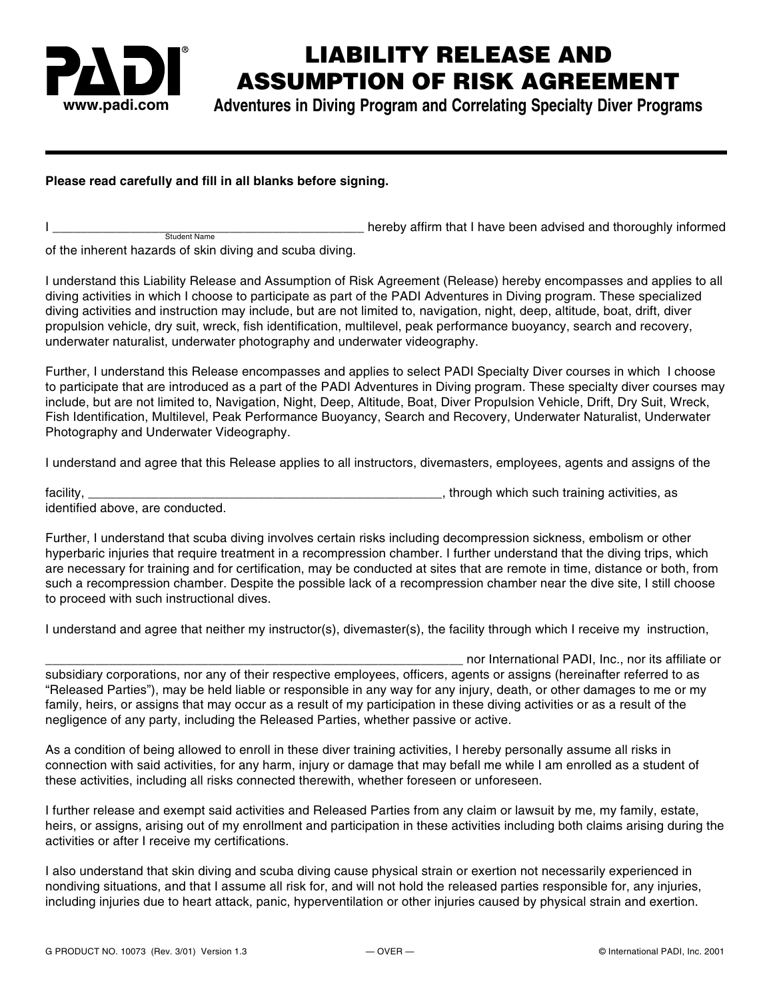

## **LIABILITY RELEASE AND ASSUMPTION OF RISK AGREEMENT**

**www.padi.com Adventures in Diving Program and Correlating Specialty Diver Programs**

## **Please read carefully and fill in all blanks before signing.**

I consider the settlem and the settlem of the settlem of the settlem in that I have been advised and thoroughly informed

of the inherent hazards of skin diving and scuba diving.

Student Name

I understand this Liability Release and Assumption of Risk Agreement (Release) hereby encompasses and applies to all diving activities in which I choose to participate as part of the PADI Adventures in Diving program. These specialized diving activities and instruction may include, but are not limited to, navigation, night, deep, altitude, boat, drift, diver propulsion vehicle, dry suit, wreck, fish identification, multilevel, peak performance buoyancy, search and recovery, underwater naturalist, underwater photography and underwater videography.

Further, I understand this Release encompasses and applies to select PADI Specialty Diver courses in which I choose to participate that are introduced as a part of the PADI Adventures in Diving program. These specialty diver courses may include, but are not limited to, Navigation, Night, Deep, Altitude, Boat, Diver Propulsion Vehicle, Drift, Dry Suit, Wreck, Fish Identification, Multilevel, Peak Performance Buoyancy, Search and Recovery, Underwater Naturalist, Underwater Photography and Underwater Videography.

I understand and agree that this Release applies to all instructors, divemasters, employees, agents and assigns of the

| facility                         | through which such training activities, as |
|----------------------------------|--------------------------------------------|
| identified above, are conducted. |                                            |

Further, I understand that scuba diving involves certain risks including decompression sickness, embolism or other hyperbaric injuries that require treatment in a recompression chamber. I further understand that the diving trips, which are necessary for training and for certification, may be conducted at sites that are remote in time, distance or both, from such a recompression chamber. Despite the possible lack of a recompression chamber near the dive site, I still choose to proceed with such instructional dives.

I understand and agree that neither my instructor(s), divemaster(s), the facility through which I receive my instruction,

\_\_\_\_\_\_\_\_\_\_\_\_\_\_\_\_\_\_\_\_\_\_\_\_\_\_\_\_\_\_\_\_\_\_\_\_\_\_\_\_\_\_\_\_\_\_\_\_\_\_\_\_\_\_\_\_\_\_\_ nor International PADI, Inc., nor its affiliate or subsidiary corporations, nor any of their respective employees, officers, agents or assigns (hereinafter referred to as "Released Parties"), may be held liable or responsible in any way for any injury, death, or other damages to me or my family, heirs, or assigns that may occur as a result of my participation in these diving activities or as a result of the negligence of any party, including the Released Parties, whether passive or active.

As a condition of being allowed to enroll in these diver training activities, I hereby personally assume all risks in connection with said activities, for any harm, injury or damage that may befall me while I am enrolled as a student of these activities, including all risks connected therewith, whether foreseen or unforeseen.

I further release and exempt said activities and Released Parties from any claim or lawsuit by me, my family, estate, heirs, or assigns, arising out of my enrollment and participation in these activities including both claims arising during the activities or after I receive my certifications.

I also understand that skin diving and scuba diving cause physical strain or exertion not necessarily experienced in nondiving situations, and that I assume all risk for, and will not hold the released parties responsible for, any injuries, including injuries due to heart attack, panic, hyperventilation or other injuries caused by physical strain and exertion.